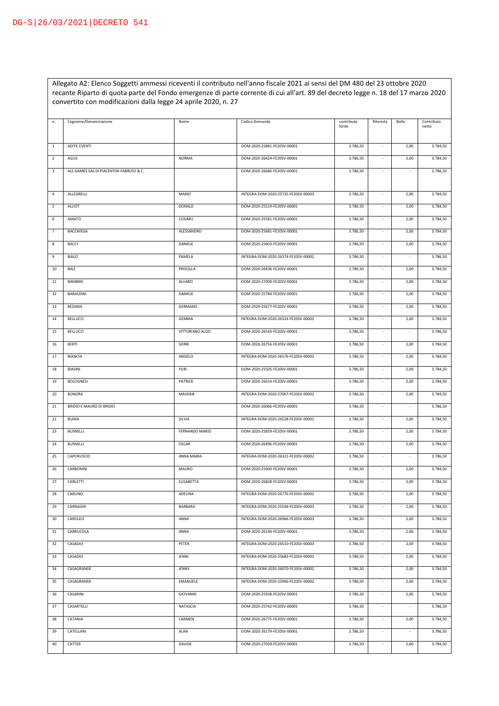Allegato A2: Elenco Soggetti ammessi riceventi il contributo nell'anno fiscale 2021 ai sensi del DM 480 del 23 ottobre 2020 recante Riparto di quota parte del Fondo emergenze di parte corrente di cui all'art. 89 del decreto legge n. 18 del 17 marzo 2020 convertito con modificazioni dalla legge 24 aprile 2020, n. 27

| n.             | Cognome/Denominazione                     | Nome            | Codice Domanda                      | contributo<br>lordo | Ritenuta                 | Bollo                    | Contributo<br>netto |
|----------------|-------------------------------------------|-----------------|-------------------------------------|---------------------|--------------------------|--------------------------|---------------------|
|                |                                           |                 |                                     |                     |                          |                          |                     |
| $\mathbf{1}$   | <b>AEFFE EVENTI</b>                       |                 | DOM-2020-25881-FE20SV-00001         | 3.786,50            | $\sim$                   | 2,00                     | 3.784,50            |
| $\sqrt{2}$     | AGUS                                      | <b>NORMA</b>    | DOM-2020-26424-FE20SV-00001         | 3.786,50            |                          | 2,00                     | 3.784,50            |
| $\mathsf 3$    | ALL GAMES SAS DI PIACENTINI FABRIZIO & C. |                 | DOM-2020-26686-FE20SV-00001         | 3.786,50            |                          | ÷,                       | 3.786,50            |
|                |                                           |                 |                                     |                     |                          |                          |                     |
| 4              | ALLEGRELLI                                | MARIO           | INTEGRA-DOM-2020-25735-FE20SV-00003 | 3.786,50            |                          | 2,00                     | 3.784,50            |
| 5              | ALLIOT                                    | <b>DONALD</b>   | DOM-2020-25519-FE20SV-00001         | 3.786,50            | $\overline{\phantom{a}}$ | 2,00                     | 3.784,50            |
| 6              | AMATO                                     | COSIMO          | DOM-2020-25581-FE20SV-00001         | 3.786,50            | $\overline{\phantom{a}}$ | 2,00                     | 3.784,50            |
| $\overline{7}$ | <b>BACCHIEGA</b>                          | ALESSANDRO      | DOM-2020-25681-FE20SV-00001         | 3.786,50            | $\sim$                   | 2,00                     | 3.784,50            |
| 8              | <b>BACCI</b>                              | DANIELE         | DOM-2020-25603-FE20SV-00001         | 3.786,50            | $\sim$                   | 2,00                     | 3.784,50            |
| 9              | <b>BAILO</b>                              | PAMELA          | INTEGRA-DOM-2020-26374-FE20SV-00002 | 3.786,50            | $\sim$                   | ÷,                       | 3.786,50            |
| 10             | BAIZ                                      | PRISCILLA       | DOM-2020-26436-FE20SV-00001         | 3.786,50            |                          | 2,00                     | 3.784,50            |
| 11             | <b>BAMBINI</b>                            | <b>ALVARO</b>   | DOM-2020-27009-FE20SV-00001         | 3.786,50            | ä,                       | 2,00                     | 3.784,50            |
| 12             | <b>BARALDINI</b>                          | DANIELE         | DOM-2020-25784-FE20SV-00001         | 3.786,50            | $\sim$                   | 2,00                     | 3.784,50            |
| 13             | <b>BEDANA</b>                             | <b>GERMANO</b>  | DOM-2020-25677-FE20SV-00001         | 3.786,50            |                          | 2,00                     | 3.784,50            |
| 14             | <b>BELLUCCI</b>                           | GEMMA           | INTEGRA-DOM-2020-26324-FE20SV-00002 | 3.786,50            |                          | 2,00                     | 3.784,50            |
| 15             | <b>BELLUCCI</b>                           | VITTORIANO ALDO | DOM-2020-26543-FE20SV-00001         | 3.786,50            |                          |                          | 3.786,50            |
| 16             | <b>BERTI</b>                              | <b>GERRI</b>    | DOM-2020-26756-FE20SV-00001         | 3.786,50            |                          | 2,00                     | 3.784,50            |
| 17             | <b>BIANCHI</b>                            | ANGELO          | INTEGRA-DOM-2020-26576-FE20SV-00002 | 3.786,50            | $\sim$                   | 2,00                     | 3.784,50            |
| 18             | BIASINI                                   | YURI            | DOM-2020-25505-FE20SV-00001         | 3.786,50            | $\sim$                   | 2,00                     | 3.784,50            |
| 19             | <b>BOLOGNESI</b>                          | <b>PATRICK</b>  | DOM-2020-26014-FE20SV-00001         | 3.786,50            | $\sim$                   | 2,00                     | 3.784,50            |
| 20             | <b>BONORA</b>                             | MAVERIK         | INTEGRA-DOM-2020-27067-FE20SV-00002 | 3.786,50            | $\overline{\phantom{a}}$ | 2,00                     | 3.784,50            |
| 21             | BRIDIO E MAURO DI BRIDIO                  |                 | DOM-2020-26066-FE20SV-00001         | 3.786,50            | $\overline{\phantom{a}}$ | $\overline{\phantom{a}}$ | 3.786,50            |
| 22             | <b>BUIAN</b>                              | SILVIA          | INTEGRA-DOM-2020-26528-FE20SV-00002 | 3.786,50            | $\overline{\phantom{a}}$ | 2,00                     | 3.784,50            |
| 23             | <b>BUSNELLI</b>                           | FERNANDO MARIO  | DOM-2020-25859-FE20SV-00001         | 3.786,50            | $\overline{\phantom{a}}$ | 2,00                     | 3.784,50            |
| 24             | <b>BUSNELLI</b>                           | <b>OSCAR</b>    | DOM-2020-26496-FE20SV-00001         | 3.786,50            | $\sim$                   | 2,00                     | 3.784,50            |
| 25             | CAPORUSCIO                                | ANNA MARIA      | INTEGRA-DOM-2020-26321-FE20SV-00002 | 3.786,50            | $\overline{\phantom{a}}$ | $\overline{\phantom{a}}$ | 3.786,50            |
| 26             | CARBONINI                                 | MAURO           | DOM-2020-25600-FE20SV-00001         | 3.786,50            | $\sim$                   | 2,00                     | 3.784,50            |
| 27             | CARLETTI                                  | ELISABETTA      | DOM-2020-26828-FE20SV-00001         | 3.786,50            |                          | 2,00                     | 3.784,50            |
| 28             | CARLINO                                   | ADELINA         | INTEGRA-DOM-2020-26776-FE20SV-00002 | 3.786,50            |                          | 2,00                     | 3.784,50            |
| 29             | CARNAGHI                                  | BARBARA         | INTEGRA-DOM-2020-25548-FE20SV-00003 | 3.786,50            | $\overline{\phantom{a}}$ | 2,00                     | 3.784,50            |
| 30             | CAROLEO                                   | ANNA            | INTEGRA-DOM-2020-26966-FE20SV-00003 | 3.786,50            | $\overline{\phantom{a}}$ | 2,00                     | 3.784,50            |
| 31             | CARRUCOLA                                 | ANNA            | DOM-2020-26194-FE20SV-00001         | 3.786,50            | $\overline{\phantom{a}}$ | 2,00                     | 3.784,50            |
| 32             | CASADIO                                   | PETER           | INTEGRA-DOM-2020-26510-FE20SV-00003 | 3.786,50            | $\overline{\phantom{a}}$ | 2,00                     | 3.784,50            |
| 33             | CASADIO                                   | JENNI           | INTEGRA-DOM-2020-25683-FE20SV-00002 | 3.786,50            | $\overline{\phantom{a}}$ | 2,00                     | 3.784,50            |
| 34             | CASAGRANDE                                | JENNY           | INTEGRA-DOM-2020-26070-FE20SV-00002 | 3.786,50            | $\overline{\phantom{a}}$ | 2,00                     | 3.784,50            |
| 35             | CASAGRANDE                                | <b>EMANUELE</b> | INTEGRA-DOM-2020-25996-FE20SV-00002 | 3.786,50            | $\overline{\phantom{a}}$ | 2,00                     | 3.784,50            |
| 36             | CASARINI                                  | GIOVANNI        | DOM-2020-25938-FE20SV-00001         | 3.786,50            | $\sim$                   | 2,00                     | 3.784,50            |
| 37             | CASARTELLI                                | NATASCIA        | DOM-2020-25742-FE20SV-00001         | 3.786,50            | $\overline{\phantom{a}}$ |                          | 3.786,50            |
| 38             | CATANIA                                   | CARMEN          | DOM-2020-26775-FE20SV-00001         | 3.786,50            | $\overline{\phantom{a}}$ | 2,00                     | 3.784,50            |
| 39             | CATELLANI                                 | ALAN            | DOM-2020-26179-FE20SV-00001         | 3.786,50            | $\overline{\phantom{a}}$ |                          | 3.786,50            |
| 40             | CATTER                                    | DAVIDE          | DOM-2020-27059-FE20SV-00001         | 3.786,50            | $\overline{\phantom{a}}$ | 2,00                     | 3.784,50            |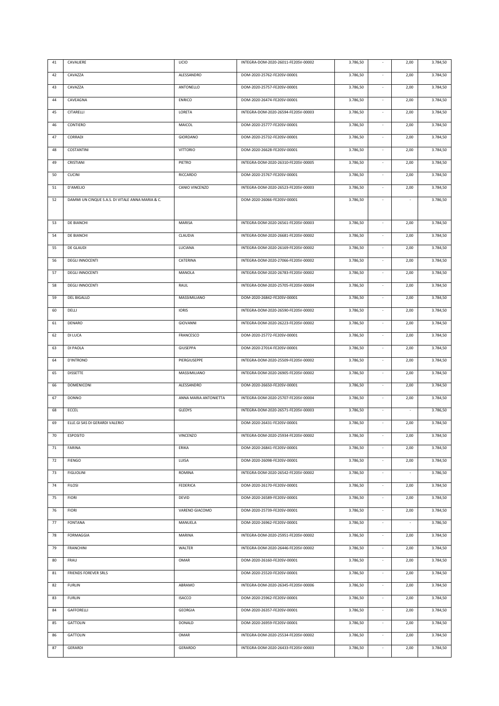| 41 | CAVALIERE                                        | LICIO                 | INTEGRA-DOM-2020-26011-FE20SV-00002 | 3.786,50 | $\overline{\phantom{a}}$    | 2,00   | 3.784,50 |
|----|--------------------------------------------------|-----------------------|-------------------------------------|----------|-----------------------------|--------|----------|
| 42 | CAVAZZA                                          | ALESSANDRO            | DOM-2020-25762-FE20SV-00001         | 3.786,50 | $\overline{\phantom{a}}$    | 2,00   | 3.784,50 |
| 43 | CAVAZZA                                          | ANTONELLO             | DOM-2020-25757-FE20SV-00001         | 3.786,50 | $\sim$                      | 2,00   | 3.784,50 |
| 44 | CAVEAGNA                                         | <b>ENRICO</b>         | DOM-2020-26474-FE20SV-00001         | 3.786,50 | $\overline{\phantom{a}}$    | 2,00   | 3.784,50 |
| 45 | CITARELLI                                        | LORETA                | INTEGRA-DOM-2020-26594-FE20SV-00003 | 3.786,50 | $\Box$                      | 2,00   | 3.784,50 |
| 46 | CONTIERO                                         | MAICOL                | DOM-2020-25777-FE20SV-00001         | 3.786,50 | $\overline{\phantom{a}}$    | 2,00   | 3.784,50 |
| 47 | CORRADI                                          | GIORDANO              | DOM-2020-25732-FE20SV-00001         | 3.786,50 | $\overline{\phantom{a}}$    | 2,00   | 3.784,50 |
| 48 | COSTANTINI                                       | <b>VITTORIO</b>       | DOM-2020-26628-FE20SV-00001         | 3.786,50 | $\overline{\phantom{a}}$    | 2,00   | 3.784,50 |
| 49 | CRISTIANI                                        | PIETRO                | INTEGRA-DOM-2020-26310-FE20SV-00005 | 3.786,50 | $\sim$                      | 2,00   | 3.784,50 |
| 50 | CUCINI                                           | RICCARDO              | DOM-2020-25767-FE20SV-00001         | 3.786,50 | $\overline{\phantom{a}}$    | 2,00   | 3.784,50 |
| 51 | D'AMELIO                                         | CANIO VINCENZO        | INTEGRA-DOM-2020-26523-FE20SV-00003 | 3.786,50 | $\sim$                      | 2,00   | 3.784,50 |
| 52 | DAMMI UN CINQUE S.A.S. DI VITALE ANNA MARIA & C. |                       | DOM-2020-26066-FE20SV-00001         | 3.786,50 | $\overline{\phantom{a}}$    |        | 3.786,50 |
|    |                                                  |                       |                                     |          |                             |        |          |
| 53 | DE BIANCHI                                       | <b>MARISA</b>         | INTEGRA-DOM-2020-26561-FE20SV-00003 | 3.786,50 | $\overline{\phantom{a}}$    | 2,00   | 3.784,50 |
| 54 | DE BIANCHI                                       | CLAUDIA               | INTEGRA-DOM-2020-26681-FE20SV-00002 | 3.786,50 | $\overline{\phantom{a}}$    | 2,00   | 3.784,50 |
| 55 | <b>DE GLAUDI</b>                                 | LUCIANA               | INTEGRA-DOM-2020-26169-FE20SV-00002 | 3.786,50 | $\overline{\phantom{a}}$    | 2,00   | 3.784,50 |
| 56 | <b>DEGLI INNOCENTI</b>                           | CATERINA              | INTEGRA-DOM-2020-27066-FE20SV-00002 | 3.786,50 | $\overline{\phantom{a}}$    | 2,00   | 3.784,50 |
| 57 | <b>DEGLI INNOCENTI</b>                           | MANOLA                | INTEGRA-DOM-2020-26783-FE20SV-00002 | 3.786,50 | $\sim$                      | 2,00   | 3.784,50 |
| 58 | <b>DEGLI INNOCENTI</b>                           | RAUL                  | INTEGRA-DOM-2020-25705-FE20SV-00004 | 3.786,50 | $\overline{\phantom{a}}$    | 2,00   | 3.784,50 |
| 59 | DEL BIGALLO                                      | MASSIMILIANO          | DOM-2020-26842-FE20SV-00001         | 3.786,50 | $\sim$                      | 2,00   | 3.784,50 |
| 60 | DELLI                                            | <b>IORIS</b>          | INTEGRA-DOM-2020-26590-FE20SV-00002 | 3.786,50 | $\overline{\phantom{a}}$    | 2,00   | 3.784,50 |
| 61 | DENARO                                           | GIOVANNI              | INTEGRA-DOM-2020-26223-FE20SV-00002 | 3.786,50 | $\overline{\phantom{a}}$    | 2,00   | 3.784,50 |
| 62 | DI LUCA                                          | FRANCESCO             | DOM-2020-25772-FE20SV-00001         | 3.786,50 | $\overline{\phantom{a}}$    | 2,00   | 3.784,50 |
| 63 | DI PAOLA                                         | GIUSEPPA              | DOM-2020-27014-FE20SV-00001         | 3.786,50 | $\sim$                      | 2,00   | 3.784,50 |
| 64 | D'INTRONO                                        | PIERGIUSEPPE          | INTEGRA-DOM-2020-25509-FE20SV-00002 | 3.786,50 | $\overline{\phantom{a}}$    | 2,00   | 3.784,50 |
| 65 | <b>DISSETTE</b>                                  | MASSIMILIANO          | INTEGRA-DOM-2020-26905-FE20SV-00002 | 3.786,50 | ÷,                          | 2,00   | 3.784,50 |
| 66 | DOMENICONI                                       | ALESSANDRO            | DOM-2020-26650-FE20SV-00001         | 3.786,50 | $\overline{\phantom{a}}$    | 2,00   | 3.784,50 |
| 67 | <b>DONNO</b>                                     | ANNA MARIA ANTONIETTA | INTEGRA-DOM-2020-25707-FE20SV-00004 | 3.786,50 | ÷,                          | 2,00   | 3.784,50 |
| 68 | ECCEL                                            | GLEDYS                | INTEGRA-DOM-2020-26571-FE20SV-00003 | 3.786,50 | $\sim$                      | ÷.     | 3.786,50 |
| 69 | ELLE.GI SAS DI GERARDI VALERIO                   |                       | DOM-2020-26431-FE20SV-00001         | 3.786,50 |                             | 2,00   | 3.784,50 |
| 70 | <b>ESPOSITO</b>                                  | VINCENZO              | INTEGRA-DOM-2020-25934-FE20SV-00002 | 3.786,50 |                             | 2,00   | 3.784,50 |
| 71 | FARINA                                           | ERIKA                 | DOM-2020-26841-FE20SV-00001         | 3.786,50 | $\sim$                      | 2,00   | 3.784,50 |
| 72 | <b>FIENGO</b>                                    | LUISA                 | DOM-2020-26098-FE20SV-00001         | 3.786,50 | $\overline{\phantom{a}}$    | 2,00   | 3.784,50 |
| 73 | <b>FIGLIOLINI</b>                                | ROMINA                | INTEGRA-DOM-2020-26542-FE20SV-00002 | 3.786,50 | $\sim$                      | $\sim$ | 3.786,50 |
| 74 | <b>FILOSI</b>                                    | FEDERICA              | DOM-2020-26170-FE20SV-00001         | 3.786,50 | $\mathcal{L}_{\mathcal{A}}$ | 2,00   | 3.784,50 |
| 75 | <b>FIORI</b>                                     | DEVID                 | DOM-2020-26589-FE20SV-00001         | 3.786,50 | $\mathcal{L}_{\mathcal{A}}$ | 2,00   | 3.784,50 |
| 76 | <b>FIORI</b>                                     | VARENO GIACOMO        | DOM-2020-25739-FE20SV-00001         | 3.786,50 | $\mathcal{L}_{\mathcal{A}}$ | 2,00   | 3.784,50 |
| 77 | FONTANA                                          | MANUELA               | DOM-2020-26962-FE20SV-00001         | 3.786,50 | $\mathcal{L}_{\mathcal{A}}$ | $\sim$ | 3.786,50 |
| 78 | FORMAGGIA                                        | MARINA                | INTEGRA-DOM-2020-25951-FE20SV-00002 | 3.786,50 | $\sim$                      | 2,00   | 3.784,50 |
| 79 | FRANCHINI                                        | WALTER                | INTEGRA-DOM-2020-26446-FE20SV-00002 | 3.786,50 | $\sim$                      | 2,00   | 3.784,50 |
| 80 | FRAU                                             | OMAR                  | DOM-2020-26160-FE20SV-00001         | 3.786,50 | $\sim$                      | 2,00   | 3.784,50 |
| 81 | FRIENDS FOREVER SRLS                             |                       | DOM-2020-25520-FE20SV-00001         | 3.786,50 | $\sim$                      | 2,00   | 3.784,50 |
| 82 | <b>FURLIN</b>                                    | ABRAMO                | INTEGRA-DOM-2020-26345-FE20SV-00006 | 3.786,50 | $\sim$                      | 2,00   | 3.784,50 |
| 83 | <b>FURLIN</b>                                    | <b>ISACCO</b>         | DOM-2020-25962-FE20SV-00001         | 3.786,50 | ÷                           | 2,00   | 3.784,50 |
| 84 | <b>GAFFORELLI</b>                                | GEORGIA               | DOM-2020-26357-FE20SV-00001         | 3.786,50 | $\sim$                      | 2,00   | 3.784,50 |
| 85 | GATTOLIN                                         | DONALD                | DOM-2020-26959-FE20SV-00001         | 3.786,50 | $\sim$                      | 2,00   | 3.784,50 |
| 86 | GATTOLIN                                         | OMAR                  | INTEGRA-DOM-2020-25534-FE20SV-00002 | 3.786,50 | $\sim$                      | 2,00   | 3.784,50 |
| 87 | GERARDI                                          | GERARDO               | INTEGRA-DOM-2020-26433-FE20SV-00003 | 3.786,50 | $\overline{\phantom{a}}$    | 2,00   | 3.784,50 |
|    |                                                  |                       |                                     |          |                             |        |          |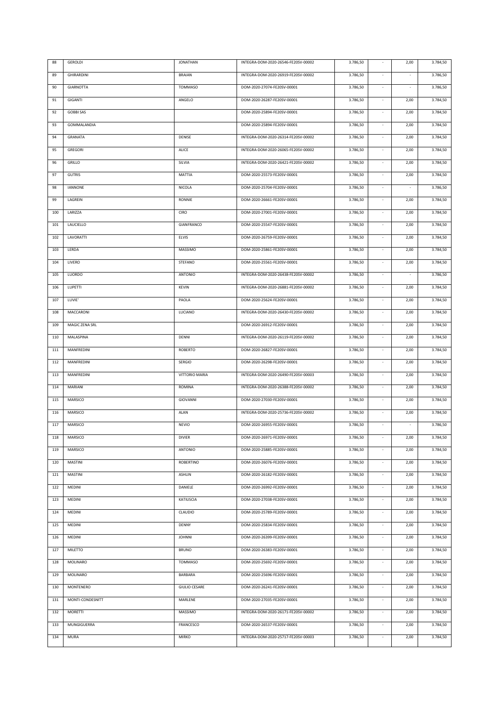| 88  | GEROLDI           | <b>JONATHAN</b>      | INTEGRA-DOM-2020-26546-FE20SV-00002 | 3.786,50 | ÷,                       | 2,00                     | 3.784,50 |
|-----|-------------------|----------------------|-------------------------------------|----------|--------------------------|--------------------------|----------|
| 89  | <b>GHIRARDINI</b> | <b>BRAIAN</b>        | INTEGRA-DOM-2020-26919-FE20SV-00002 | 3.786,50 | $\overline{\phantom{a}}$ | $\overline{\phantom{a}}$ | 3.786,50 |
| 90  | <b>GIARNOTTA</b>  | <b>TOMMASO</b>       | DOM-2020-27074-FE20SV-00001         | 3.786,50 | ÷.                       | $\overline{\phantom{a}}$ | 3.786,50 |
| 91  | <b>GIGANTI</b>    | ANGELO               | DOM-2020-26287-FE20SV-00001         | 3.786,50 | $\overline{\phantom{a}}$ | 2,00                     | 3.784,50 |
| 92  | <b>GOBBI SAS</b>  |                      | DOM-2020-25894-FE20SV-00001         | 3.786,50 | $\overline{\phantom{a}}$ | 2,00                     | 3.784,50 |
| 93  | GOMMALANDIA       |                      | DOM-2020-25894-FE20SV-00001         | 3.786,50 | ÷.                       | 2,00                     | 3.784,50 |
| 94  | GRANATA           | DENISE               | INTEGRA-DOM-2020-26314-FE20SV-00002 | 3.786,50 | ÷.                       | 2,00                     | 3.784,50 |
| 95  | GREGORI           | ALICE                | INTEGRA-DOM-2020-26065-FE20SV-00002 | 3.786,50 | $\sim$                   | 2,00                     | 3.784,50 |
| 96  | GRILLO            | SILVIA               | INTEGRA-DOM-2020-26421-FE20SV-00002 | 3.786,50 | $\sim$                   | 2,00                     | 3.784,50 |
| 97  | <b>GUTRIS</b>     | MATTIA               | DOM-2020-25573-FE20SV-00001         | 3.786,50 | $\sim$                   | 2,00                     | 3.784,50 |
| 98  | <b>IANNONE</b>    | NICOLA               | DOM-2020-25704-FE20SV-00001         | 3.786,50 | $\sim$                   | $\overline{\phantom{a}}$ | 3.786,50 |
| 99  | LAGREIN           | RONNIE               | DOM-2020-26661-FE20SV-00001         | 3.786,50 | $\sim$                   | 2,00                     | 3.784,50 |
| 100 | LARIZZA           | CIRO                 | DOM-2020-27001-FE20SV-00001         | 3.786,50 | $\sim$                   | 2,00                     | 3.784,50 |
| 101 | <b>LAUCIELLO</b>  | GIANFRANCO           | DOM-2020-25547-FE20SV-00001         | 3.786,50 | $\overline{\phantom{a}}$ | 2,00                     | 3.784,50 |
| 102 | LAVORATTI         | ELVIS                | DOM-2020-26759-FE20SV-00001         | 3.786,50 | ÷,                       | 2,00                     | 3.784,50 |
| 103 | LERDA             | <b>MASSIMO</b>       | DOM-2020-25861-FE20SV-00001         | 3.786,50 | $\omega$                 | 2,00                     | 3.784,50 |
| 104 | LIVERO            | STEFANO              | DOM-2020-25561-FE20SV-00001         | 3.786,50 | ä,                       | 2,00                     | 3.784,50 |
| 105 | LUORDO            | ANTONIO              | INTEGRA-DOM-2020-26438-FE20SV-00002 | 3.786,50 | ÷.                       | $\bar{z}$                | 3.786,50 |
| 106 | LUPETTI           | <b>KEVIN</b>         | INTEGRA-DOM-2020-26881-FE20SV-00002 | 3.786,50 | ÷,                       | 2,00                     | 3.784,50 |
| 107 | LUVIE'            | PAOLA                | DOM-2020-25624-FE20SV-00001         | 3.786,50 | ÷.                       | 2,00                     | 3.784,50 |
| 108 | MACCARONI         | LUCIANO              | INTEGRA-DOM-2020-26430-FE20SV-00002 | 3.786,50 | ÷.                       | 2,00                     | 3.784,50 |
| 109 | MAGIC ZENA SRL    |                      | DOM-2020-26912-FE20SV-00001         | 3.786,50 | ÷.                       | 2,00                     | 3.784,50 |
| 110 | MALASPINA         | DENNI                | INTEGRA-DOM-2020-26119-FE20SV-00002 | 3.786,50 | ÷.                       | 2,00                     | 3.784,50 |
| 111 | MANFREDINI        | ROBERTO              | DOM-2020-26827-FE20SV-00001         | 3.786,50 | $\sim$                   | 2,00                     | 3.784,50 |
| 112 | MANFREDINI        | SERGIO               | DOM-2020-26298-FE20SV-00001         | 3.786,50 | $\sim$                   | 2,00                     | 3.784,50 |
| 113 | MANFREDINI        | VITTORIO MARIA       | INTEGRA-DOM-2020-26490-FE20SV-00003 | 3.786,50 | $\sim$                   | 2,00                     | 3.784,50 |
| 114 | MARIANI           | ROMINA               | INTEGRA-DOM-2020-26388-FE20SV-00002 | 3.786,50 | $\sim$                   | 2,00                     | 3.784,50 |
| 115 | MARSICO           | GIOVANNI             | DOM-2020-27030-FE20SV-00001         | 3.786,50 | $\sim$                   | 2,00                     | 3.784,50 |
| 116 | MARSICO           | ALAN                 | INTEGRA-DOM-2020-25736-FE20SV-00002 | 3.786,50 | $\sim$                   | 2,00                     | 3.784,50 |
| 117 | MARSICO           | <b>NEVIO</b>         | DOM-2020-26955-FE20SV-00001         | 3.786,50 | ÷.                       | $\bar{\mathbf{z}}$       | 3.786,50 |
| 118 | MARSICO           | DIVIER               | DOM-2020-26971-FE20SV-00001         | 3.786,50 |                          | 2,00                     | 3.784,50 |
| 119 | MARSICO           | ANTONIO              | DOM-2020-25885-FE20SV-00001         | 3.786,50 | $\overline{\phantom{a}}$ | 2,00                     | 3.784,50 |
| 120 | MASTINI           | ROBERTINO            | DOM-2020-26076-FE20SV-00001         | 3.786,50 | ٠                        | 2,00                     | 3.784,50 |
| 121 | MASTINI           | ASHLIN               | DOM-2020-26182-FE20SV-00001         | 3.786,50 | $\sim$                   | 2,00                     | 3.784,50 |
| 122 | MEDINI            | DANIELE              | DOM-2020-26992-FE20SV-00001         | 3.786,50 | ٠                        | 2,00                     | 3.784,50 |
| 123 | MEDINI            | KATIUSCIA            | DOM-2020-27038-FE20SV-00001         | 3.786,50 | ÷.                       | 2,00                     | 3.784,50 |
| 124 | MEDINI            | CLAUDIO              | DOM-2020-25789-FE20SV-00001         | 3.786,50 | ٠                        | 2,00                     | 3.784,50 |
| 125 | MEDINI            | DENNY                | DOM-2020-25834-FE20SV-00001         | 3.786,50 | ٠                        | 2,00                     | 3.784,50 |
| 126 | MEDINI            | <b>JOHNNI</b>        | DOM-2020-26399-FE20SV-00001         | 3.786,50 | $\sim$                   | 2,00                     | 3.784,50 |
| 127 | MILETTO           | <b>BRUNO</b>         | DOM-2020-26383-FE20SV-00001         | 3.786,50 | ÷.                       | 2,00                     | 3.784,50 |
| 128 | MOLINARO          | <b>TOMMASO</b>       | DOM-2020-25692-FE20SV-00001         | 3.786,50 | $\sim$                   | 2,00                     | 3.784,50 |
| 129 | MOLINARO          | BARBARA              | DOM-2020-25696-FE20SV-00001         | 3.786,50 | $\sim$                   | 2,00                     | 3.784,50 |
| 130 | MONTENERO         | <b>GIULIO CESARE</b> | DOM-2020-26241-FE20SV-00001         | 3.786,50 | $\sim$                   | 2,00                     | 3.784,50 |
| 131 | MONTI-CONDESNITT  | MARLENE              | DOM-2020-27035-FE20SV-00001         | 3.786,50 | $\sim$                   | 2,00                     | 3.784,50 |
| 132 | MORETTI           | MASSIMO              | INTEGRA-DOM-2020-26171-FE20SV-00002 | 3.786,50 | ٠                        | 2,00                     | 3.784,50 |
| 133 | MUNGIGUERRA       | FRANCESCO            | DOM-2020-26537-FE20SV-00001         | 3.786,50 | $\sim$                   | 2,00                     | 3.784,50 |
| 134 | MURA              | MIRKO                | INTEGRA-DOM-2020-25717-FE20SV-00003 | 3.786,50 | $\overline{\phantom{a}}$ | 2,00                     | 3.784,50 |
|     |                   |                      |                                     |          |                          |                          |          |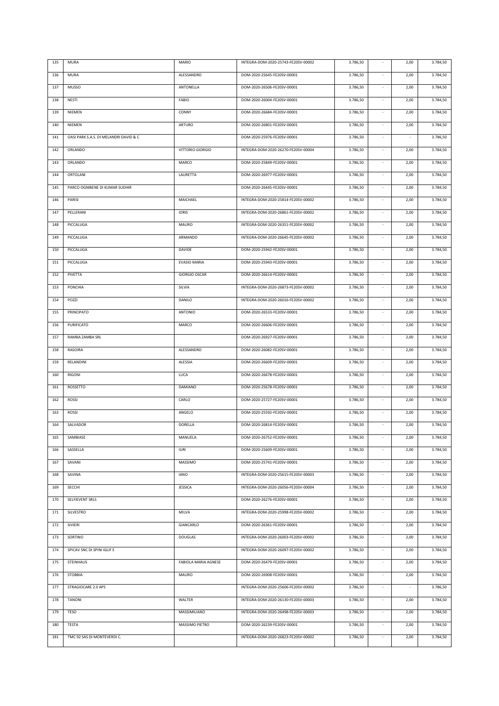| 135 | <b>MURA</b>                            | MARIO                | INTEGRA-DOM-2020-25743-FE20SV-00002 | 3.786,50 |                             | 2,00       | 3.784,50 |
|-----|----------------------------------------|----------------------|-------------------------------------|----------|-----------------------------|------------|----------|
| 136 | <b>MURA</b>                            | ALESSANDRO           | DOM-2020-25645-FE20SV-00001         | 3.786,50 | ÷,                          | 2,00       | 3.784,50 |
| 137 | MUSSO                                  | ANTONELLA            | DOM-2020-26506-FE20SV-00001         | 3.786,50 | $\sim$                      | 2,00       | 3.784,50 |
| 138 | NESTI                                  | FABIO                | DOM-2020-26004-FE20SV-00001         | 3.786,50 | $\sim$                      | 2,00       | 3.784,50 |
| 139 | NIEMEN                                 | CONNY                | DOM-2020-26684-FE20SV-00001         | 3.786,50 | $\sim$                      | 2,00       | 3.784,50 |
| 140 | NIEMEN                                 | ARTURO               | DOM-2020-26801-FE20SV-00001         | 3.786,50 | $\overline{\phantom{a}}$    | 2,00       | 3.784,50 |
| 141 | OASI PARK S.A.S. DI MELANDRI DAVID & C |                      | DOM-2020-25976-FE20SV-00001         | 3.786,50 | $\sim$                      | $\epsilon$ | 3.786,50 |
| 142 | ORLANDO                                | VITTORIO GIORGIO     | INTEGRA-DOM-2020-26270-FE20SV-00004 | 3.786,50 | $\sim$                      | 2,00       | 3.784,50 |
| 143 | ORLANDO                                | MARCO                | DOM-2020-25849-FE20SV-00001         | 3.786,50 | $\sim$                      | 2,00       | 3.784,50 |
| 144 | ORTOLANI                               | LAURETTA             | DOM-2020-26977-FE20SV-00001         | 3.786,50 | $\overline{\phantom{a}}$    | 2,00       | 3.784,50 |
| 145 | PARCO OGNIBENE DI KUMAR SUDHIR         |                      | DOM-2020-26445-FE20SV-00001         | 3.786,50 | $\overline{\phantom{a}}$    | 2,00       | 3.784,50 |
| 146 | PARISI                                 | MAICHAEL             | INTEGRA-DOM-2020-25814-FE20SV-00002 | 3.786,50 | $\overline{\phantom{a}}$    | 2,00       | 3.784,50 |
| 147 | PELLERANI                              | <b>IORIS</b>         | INTEGRA-DOM-2020-26861-FE20SV-00002 | 3.786,50 | ÷.                          | 2,00       | 3.784,50 |
| 148 | PICCALUGA                              | MAURO                | INTEGRA-DOM-2020-26351-FE20SV-00002 | 3.786,50 | ÷.                          | 2,00       | 3.784,50 |
| 149 | PICCALUGA                              | ARMANDO              | INTEGRA-DOM-2020-26645-FE20SV-00002 | 3.786,50 | $\overline{\phantom{a}}$    | 2,00       | 3.784,50 |
| 150 | PICCALUGA                              | DAVIDE               | DOM-2020-25942-FE20SV-00001         | 3.786,50 | $\overline{\phantom{a}}$    | 2,00       | 3.784,50 |
| 151 | PICCALUGA                              | <b>EVASIO MARIA</b>  | DOM-2020-25943-FE20SV-00001         | 3.786,50 | $\overline{\phantom{a}}$    | 2,00       | 3.784,50 |
| 152 | PIVETTA                                | <b>GIORGIO OSCAR</b> | DOM-2020-26614-FE20SV-00001         | 3.786,50 | $\overline{\phantom{a}}$    | 2,00       | 3.784,50 |
| 153 | <b>PONCHIA</b>                         | SILVIA               | INTEGRA-DOM-2020-26873-FE20SV-00002 | 3.786,50 | ÷.                          | 2,00       | 3.784,50 |
| 154 | POZZI                                  | DANILO               | INTEGRA-DOM-2020-26016-FE20SV-00002 | 3.786,50 | $\sim$                      | 2,00       | 3.784,50 |
| 155 | PRINCIPATO                             | ANTONIO              | DOM-2020-26533-FE20SV-00001         | 3.786,50 | $\sim$                      | 2,00       | 3.784,50 |
| 156 | PURIFICATO                             | MARCO                | DOM-2020-26606-FE20SV-00001         | 3.786,50 | $\overline{\phantom{a}}$    | 2,00       | 3.784,50 |
| 157 | RAMBA ZAMBA SRL                        |                      | DOM-2020-26927-FE20SV-00001         | 3.786,50 | $\sim$                      | 2,00       | 3.784,50 |
| 158 | RASOIRA                                | ALESSANDRO           | DOM-2020-26082-FE20SV-00001         | 3.786,50 | $\sim$                      | 2,00       | 3.784,50 |
| 159 | RELANDINI                              | ALESSIA              | DOM-2020-26609-FE20SV-00001         | 3.786,50 | $\overline{\phantom{a}}$    | 2,00       | 3.784,50 |
| 160 | RIGONI                                 | LUCA                 | DOM-2020-26678-FE20SV-00001         | 3.786,50 | $\overline{\phantom{a}}$    | 2,00       | 3.784,50 |
| 161 | ROSSETTO                               | DAMIANO              | DOM-2020-25678-FE20SV-00001         | 3.786,50 | $\overline{\phantom{a}}$    | 2,00       | 3.784,50 |
| 162 | ROSSI                                  | CARLO                | DOM-2020-25727-FE20SV-00001         | 3.786,50 | $\sim$                      | 2,00       | 3.784,50 |
| 163 | ROSSI                                  | ANGELO               | DOM-2020-25592-FE20SV-00001         | 3.786,50 | ä,                          | 2,00       | 3.784,50 |
| 164 | SALVADOR                               | <b>DORELLA</b>       | DOM-2020-26814-FE20SV-00001         | 3.786,50 |                             | 2,00       | 3.784,50 |
| 165 | SAMBIASE                               | MANUELA              | DOM-2020-26752-FE20SV-00001         | 3.786,50 |                             | 2,00       | 3.784,50 |
| 166 | SASSELLA                               | <b>IURI</b>          | DOM-2020-25609-FE20SV-00001         | 3.786,50 |                             | 2,00       | 3.784,50 |
| 167 | SAVANI                                 | <b>MASSIMO</b>       | DOM-2020-25741-FE20SV-00001         | 3.786,50 | ÷.                          | 2,00       | 3.784,50 |
| 168 | SAVINA                                 | <b>IANO</b>          | INTEGRA-DOM-2020-25615-FE20SV-00003 | 3.786,50 | ÷.                          | 2,00       | 3.784,50 |
| 169 | SECCHI                                 | <b>JESSICA</b>       | INTEGRA-DOM-2020-26056-FE20SV-00004 | 3.786,50 | $\sim$                      | 2,00       | 3.784,50 |
| 170 | SELFIEVENT SRLS                        |                      | DOM-2020-26276-FE20SV-00001         | 3.786,50 | $\sim$                      | 2,00       | 3.784,50 |
| 171 | SILVESTRO                              | MILVA                | INTEGRA-DOM-2020-25998-FE20SV-00002 | 3.786,50 | $\sim$                      | 2,00       | 3.784,50 |
| 172 | SIVIERI                                | GIANCARLO            | DOM-2020-26361-FE20SV-00001         | 3.786,50 | $\sim$                      | 2,00       | 3.784,50 |
| 173 | SORTINO                                | <b>DOUGLAS</b>       | INTEGRA-DOM-2020-26003-FE20SV-00002 | 3.786,50 | $\sim$                      | 2,00       | 3.784,50 |
| 174 | SPICAV SNC DI SPINI IGLIF E            |                      | INTEGRA-DOM-2020-26097-FE20SV-00002 | 3.786,50 | $\mathcal{L}_{\mathcal{A}}$ | 2,00       | 3.784,50 |
| 175 | STEINHAUS                              | FABIOLA MARIA AGNESE | DOM-2020-26479-FE20SV-00001         | 3.786,50 | $\sim$                      | 2,00       | 3.784,50 |
| 176 | STOBBIA                                | MAURO                | DOM-2020-26908-FE20SV-00001         | 3.786,50 | $\sim$                      | 2,00       | 3.784,50 |
| 177 | STRAGIOCARE 2.0 APS                    |                      | INTEGRA-DOM-2020-25606-FE20SV-00002 | 3.786,50 | $\sim$                      | $\sim$     | 3.786,50 |
| 178 | <b>TANONI</b>                          | WALTER               | INTEGRA-DOM-2020-26130-FE20SV-00003 | 3.786,50 | $\sim$                      | 2,00       | 3.784,50 |
| 179 | TESO                                   | MASSIMILIANO         | INTEGRA-DOM-2020-26498-FE20SV-00003 | 3.786,50 | ٠                           | 2,00       | 3.784,50 |
| 180 | <b>TESTA</b>                           | MASSIMO PIETRO       | DOM-2020-26239-FE20SV-00001         | 3.786,50 | ÷.                          | 2,00       | 3.784,50 |
| 181 | TMC 92 SAS DI MONTEVERDI C.            |                      | INTEGRA-DOM-2020-26823-FE20SV-00002 | 3.786,50 | $\overline{\phantom{a}}$    | 2,00       | 3.784,50 |
|     |                                        |                      |                                     |          |                             |            |          |